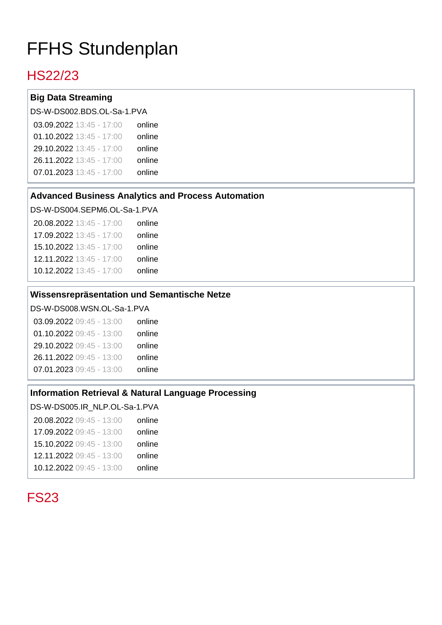# FFHS Stundenplan

## HS22/23

#### **Big Data Streaming**

DS-W-DS002.BDS.OL-Sa-1.PVA

| 03.09.2022 13:45 - 17:00   | online |
|----------------------------|--------|
| 01.10.2022 $13:45 - 17:00$ | online |
| 29.10.2022 13:45 - 17:00   | online |
| 26.11.2022 13:45 - 17:00   | online |
| 07.01.2023 13:45 - 17:00   | online |
|                            |        |

#### **Advanced Business Analytics and Process Automation**

DS-W-DS004.SEPM6.OL-Sa-1.PVA

| 20.08.2022 13:45 - 17:00 | online |
|--------------------------|--------|
| 17.09.2022 13:45 - 17:00 | online |
| 15.10.2022 13:45 - 17:00 | online |
| 12.11.2022 13:45 - 17:00 | online |
| 10.12.2022 13:45 - 17:00 | online |

#### **Wissensrepräsentation und Semantische Netze**

DS-W-DS008.WSN.OL-Sa-1.PVA

| 03.09.2022 09:45 - 13:00 | online |
|--------------------------|--------|
| 01.10.2022 09:45 - 13:00 | online |
| 29.10.2022 09:45 - 13:00 | online |
| 26.11.2022 09:45 - 13:00 | online |
| 07.01.2023 09:45 - 13:00 | online |
|                          |        |

#### **Information Retrieval & Natural Language Processing**

DS-W-DS005.IR\_NLP.OL-Sa-1.PVA 20.08.2022 09:45 - 13:00 17.09.2022 09:45 - 13:00 15.10.2022 09:45 - 13:00 12.11.2022 09:45 - 13:00 10.12.2022 09:45 - 13:00 online online online online online

# FS23